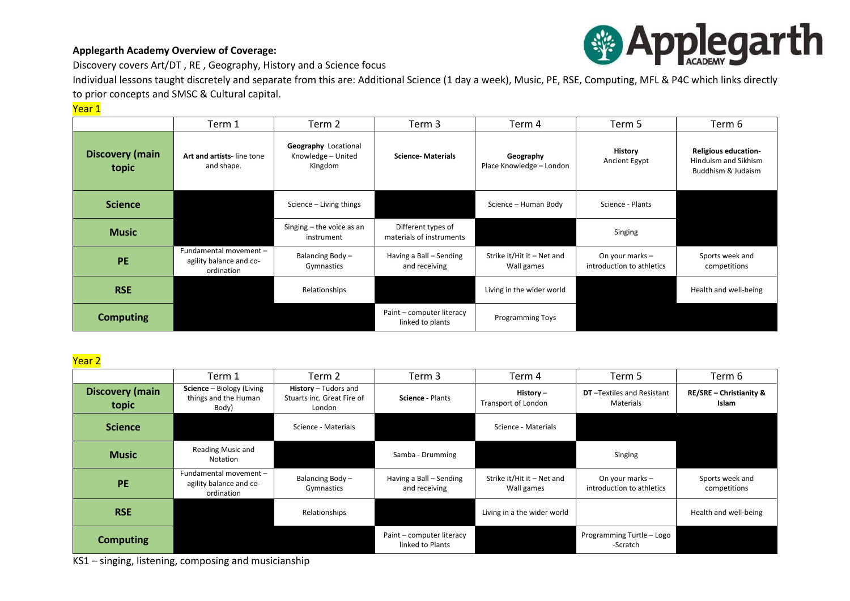### **Applegarth Academy Overview of Coverage:**



Discovery covers Art/DT , RE , Geography, History and a Science focus

Individual lessons taught discretely and separate from this are: Additional Science (1 day a week), Music, PE, RSE, Computing, MFL & P4C which links directly to prior concepts and SMSC & Cultural capital.

### Year 1

|                                 | Term 1                                                          | Term 2                                                | Term 3                                         | Term 4                                   | Term 5                                       | Term 6                                                                    |
|---------------------------------|-----------------------------------------------------------------|-------------------------------------------------------|------------------------------------------------|------------------------------------------|----------------------------------------------|---------------------------------------------------------------------------|
| <b>Discovery (main</b><br>topic | Art and artists-line tone<br>and shape.                         | Geography Locational<br>Knowledge - United<br>Kingdom | <b>Science-Materials</b>                       | Geography<br>Place Knowledge - London    | <b>History</b><br>Ancient Egypt              | <b>Religious education-</b><br>Hinduism and Sikhism<br>Buddhism & Judaism |
| <b>Science</b>                  |                                                                 | Science - Living things                               |                                                | Science - Human Body                     | Science - Plants                             |                                                                           |
| <b>Music</b>                    |                                                                 | Singing - the voice as an<br>instrument               | Different types of<br>materials of instruments |                                          | Singing                                      |                                                                           |
| <b>PE</b>                       | Fundamental movement -<br>agility balance and co-<br>ordination | Balancing Body-<br>Gymnastics                         | Having a Ball - Sending<br>and receiving       | Strike it/Hit it - Net and<br>Wall games | On your marks -<br>introduction to athletics | Sports week and<br>competitions                                           |
| <b>RSE</b>                      |                                                                 | Relationships                                         |                                                | Living in the wider world                |                                              | Health and well-being                                                     |
| <b>Computing</b>                |                                                                 |                                                       | Paint - computer literacy<br>linked to plants  | <b>Programming Toys</b>                  |                                              |                                                                           |

#### Year 2

|                                 | Term 1                                                          | Term 2                                                       | Term 3                                        | Term 4                                   | Term 5                                         | Term 6                                             |
|---------------------------------|-----------------------------------------------------------------|--------------------------------------------------------------|-----------------------------------------------|------------------------------------------|------------------------------------------------|----------------------------------------------------|
| <b>Discovery (main</b><br>topic | Science - Biology (Living<br>things and the Human<br>Body)      | History - Tudors and<br>Stuarts inc. Great Fire of<br>London | Science - Plants                              | History $-$<br>Transport of London       | <b>DT</b> -Textiles and Resistant<br>Materials | <b>RE/SRE - Christianity &amp;</b><br><b>Islam</b> |
| <b>Science</b>                  |                                                                 | Science - Materials                                          |                                               | Science - Materials                      |                                                |                                                    |
| <b>Music</b>                    | Reading Music and<br>Notation                                   |                                                              | Samba - Drumming                              |                                          | Singing                                        |                                                    |
| <b>PE</b>                       | Fundamental movement -<br>agility balance and co-<br>ordination | Balancing Body-<br>Gymnastics                                | Having a Ball – Sending<br>and receiving      | Strike it/Hit it - Net and<br>Wall games | On your marks $-$<br>introduction to athletics | Sports week and<br>competitions                    |
| <b>RSE</b>                      |                                                                 | Relationships                                                |                                               | Living in a the wider world              |                                                | Health and well-being                              |
| <b>Computing</b>                |                                                                 |                                                              | Paint – computer literacy<br>linked to Plants |                                          | Programming Turtle - Logo<br>-Scratch          |                                                    |

KS1 – singing, listening, composing and musicianship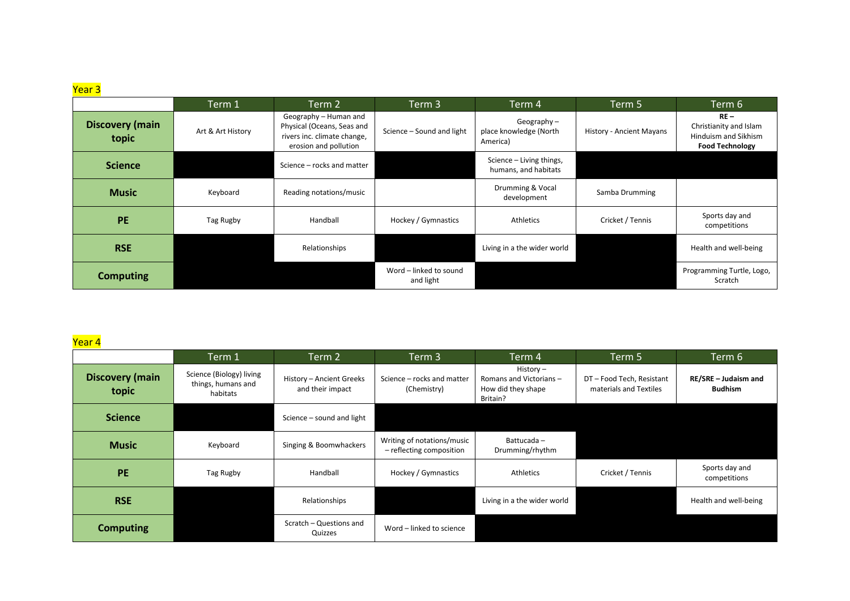# <mark>Year 3</mark>

|                                 | Term 1            | Term 2                                                                                                      | Term 3                              | Term 4                                              | Term 5                   | Term 6                                                                             |
|---------------------------------|-------------------|-------------------------------------------------------------------------------------------------------------|-------------------------------------|-----------------------------------------------------|--------------------------|------------------------------------------------------------------------------------|
| <b>Discovery (main</b><br>topic | Art & Art History | Geography - Human and<br>Physical (Oceans, Seas and<br>rivers inc. climate change,<br>erosion and pollution | Science - Sound and light           | Geography $-$<br>place knowledge (North<br>America) | History - Ancient Mayans | $RE -$<br>Christianity and Islam<br>Hinduism and Sikhism<br><b>Food Technology</b> |
| <b>Science</b>                  |                   | Science - rocks and matter                                                                                  |                                     | Science - Living things,<br>humans, and habitats    |                          |                                                                                    |
| <b>Music</b>                    | Keyboard          | Reading notations/music                                                                                     |                                     | Drumming & Vocal<br>development                     | Samba Drumming           |                                                                                    |
| <b>PE</b>                       | Tag Rugby         | Handball                                                                                                    | Hockey / Gymnastics                 | Athletics                                           | Cricket / Tennis         | Sports day and<br>competitions                                                     |
| <b>RSE</b>                      |                   | Relationships                                                                                               |                                     | Living in a the wider world                         |                          | Health and well-being                                                              |
| <b>Computing</b>                |                   |                                                                                                             | Word - linked to sound<br>and light |                                                     |                          | Programming Turtle, Logo,<br>Scratch                                               |

## <mark>Year 4</mark>

|                                 | Term 1                                                     | Term 2                                       | Term 3                                                 | Term 4                                                                  | Term 5                                              | ${\sf Term}\,6$ ,                      |
|---------------------------------|------------------------------------------------------------|----------------------------------------------|--------------------------------------------------------|-------------------------------------------------------------------------|-----------------------------------------------------|----------------------------------------|
| <b>Discovery (main</b><br>topic | Science (Biology) living<br>things, humans and<br>habitats | History - Ancient Greeks<br>and their impact | Science – rocks and matter<br>(Chemistry)              | $History -$<br>Romans and Victorians-<br>How did they shape<br>Britain? | DT - Food Tech, Resistant<br>materials and Textiles | RE/SRE - Judaism and<br><b>Budhism</b> |
| <b>Science</b>                  |                                                            | Science - sound and light                    |                                                        |                                                                         |                                                     |                                        |
| <b>Music</b>                    | Keyboard                                                   | Singing & Boomwhackers                       | Writing of notations/music<br>- reflecting composition | Battucada-<br>Drumming/rhythm                                           |                                                     |                                        |
| <b>PE</b>                       | Tag Rugby                                                  | Handball                                     | Hockey / Gymnastics                                    | Athletics                                                               | Cricket / Tennis                                    | Sports day and<br>competitions         |
| <b>RSE</b>                      |                                                            | Relationships                                |                                                        | Living in a the wider world                                             |                                                     | Health and well-being                  |
| <b>Computing</b>                |                                                            | Scratch - Questions and<br>Quizzes           | Word - linked to science                               |                                                                         |                                                     |                                        |